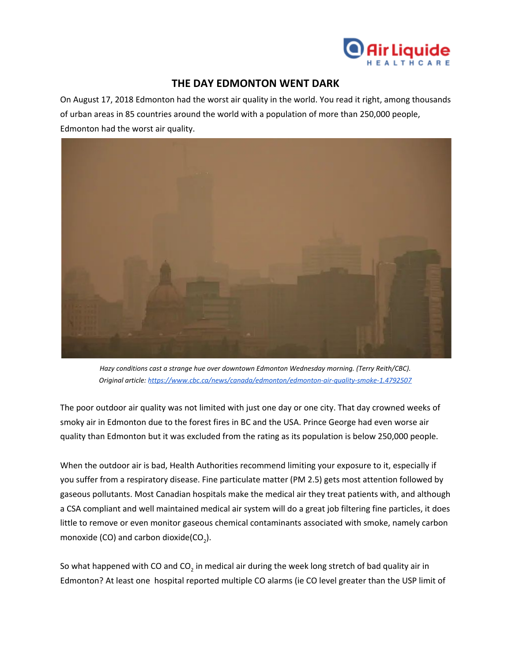

## **THE DAY EDMONTON WENT DARK**

On August 17, 2018 Edmonton had the worst air quality in the world. You read it right, among thousands of urban areas in 85 countries around the world with a population of more than 250,000 people, Edmonton had the worst air quality.



*Hazy conditions cast a strange hue over downtown Edmonton Wednesday morning. (Terry Reith/CBC). Original article: <https://www.cbc.ca/news/canada/edmonton/edmonton-air-quality-smoke-1.4792507>*

The poor outdoor air quality was not limited with just one day or one city. That day crowned weeks of smoky air in Edmonton due to the forest fires in BC and the USA. Prince George had even worse air quality than Edmonton but it was excluded from the rating as its population is below 250,000 people.

When the outdoor air is bad, Health Authorities recommend limiting your exposure to it, especially if you suffer from a respiratory disease. Fine particulate matter (PM 2.5) gets most attention followed by gaseous pollutants. Most Canadian hospitals make the medical air they treat patients with, and although a CSA compliant and well maintained medical air system will do a great job filtering fine particles, it does little to remove or even monitor gaseous chemical contaminants associated with smoke, namely carbon monoxide (CO) and carbon dioxide(CO<sub>2</sub>).

So what happened with CO and CO<sub>2</sub> in medical air during the week long stretch of bad quality air in Edmonton? At least one hospital reported multiple CO alarms (ie CO level greater than the USP limit of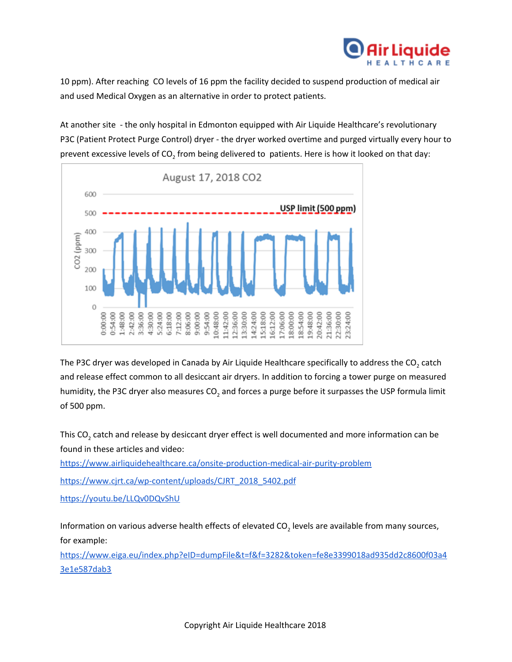

10 ppm). After reaching CO levels of 16 ppm the facility decided to suspend production of medical air and used Medical Oxygen as an alternative in order to protect patients.

At another site - the only hospital in Edmonton equipped with Air Liquide Healthcare's revolutionary P3C (Patient Protect Purge Control) dryer - the dryer worked overtime and purged virtually every hour to prevent excessive levels of CO<sub>2</sub> from being delivered to patients. Here is how it looked on that day:



The P3C dryer was developed in Canada by Air Liquide Healthcare specifically to address the CO<sub>2</sub> catch and release effect common to all desiccant air dryers. In addition to forcing a tower purge on measured humidity, the P3C dryer also measures CO<sub>2</sub> and forces a purge before it surpasses the USP formula limit of 500 ppm.

This CO<sub>2</sub> catch and release by desiccant dryer effect is well documented and more information can be found in these articles and video:

<https://www.airliquidehealthcare.ca/onsite-production-medical-air-purity-problem>

[https://www.cjrt.ca/wp-content/uploads/CJRT\\_2018\\_5402.pdf](https://www.cjrt.ca/wp-content/uploads/CJRT_2018_5402.pdf)

<https://youtu.be/LLQv0DQvShU>

Information on various adverse health effects of elevated CO<sub>2</sub> levels are available from many sources, for example:

[https://www.eiga.eu/index.php?eID=dumpFile&t=f&f=3282&token=fe8e3399018ad935dd2c8600f03a4](https://www.eiga.eu/index.php?eID=dumpFile&t=f&f=3282&token=fe8e3399018ad935dd2c8600f03a43e1e587dab3) [3e1e587dab3](https://www.eiga.eu/index.php?eID=dumpFile&t=f&f=3282&token=fe8e3399018ad935dd2c8600f03a43e1e587dab3)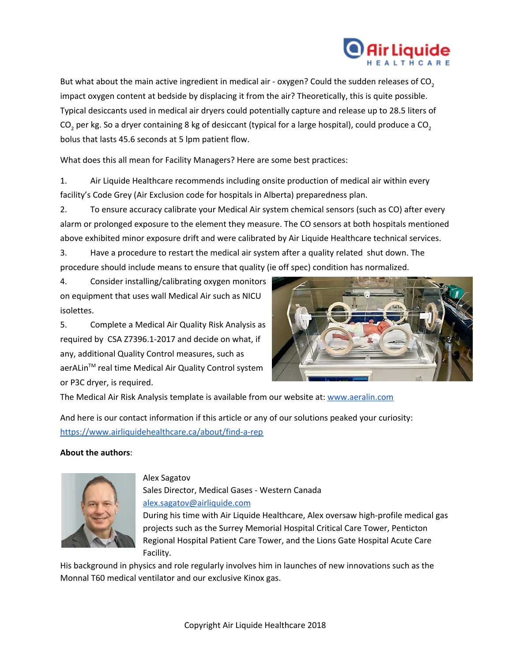

But what about the main active ingredient in medical air - oxygen? Could the sudden releases of CO<sub>2</sub> impact oxygen content at bedside by displacing it from the air? Theoretically, this is quite possible. Typical desiccants used in medical air dryers could potentially capture and release up to 28.5 liters of CO<sub>2</sub> per kg. So a dryer containing 8 kg of desiccant (typical for a large hospital), could produce a CO<sub>2</sub> bolus that lasts 45.6 seconds at 5 lpm patient flow.

What does this all mean for Facility Managers? Here are some best practices:

1. Air Liquide Healthcare recommends including onsite production of medical air within every facility's Code Grey (Air Exclusion code for hospitals in Alberta) preparedness plan.

2. To ensure accuracy calibrate your Medical Air system chemical sensors (such as CO) after every alarm or prolonged exposure to the element they measure. The CO sensors at both hospitals mentioned above exhibited minor exposure drift and were calibrated by Air Liquide Healthcare technical services.

3. Have a procedure to restart the medical air system after a quality related shut down. The procedure should include means to ensure that quality (ie off spec) condition has normalized.

4. Consider installing/calibrating oxygen monitors on equipment that uses wall Medical Air such as NICU isolettes.

5. Complete a Medical Air Quality Risk Analysis as required by CSA Z7396.1-2017 and decide on what, if any, additional Quality Control measures, such as aerALin<sup>™</sup> real time Medical Air Quality Control system or P3C dryer, is required.



The Medical Air Risk Analysis template is available from our website at: [www.aeralin.com](http://www.aeralin.com/)

And here is our contact information if this article or any of our solutions peaked your curiosity: <https://www.airliquidehealthcare.ca/about/find-a-rep>

## **About the authors**:



## Alex Sagatov

Sales Director, Medical Gases - Western Canada [alex.sagatov@airliquide.com](mailto:alex.sagatov@airliquide.com) During his time with Air Liquide Healthcare, Alex oversaw high-profile medical gas projects such as the Surrey Memorial Hospital Critical Care Tower, Penticton Regional Hospital Patient Care Tower, and the Lions Gate Hospital Acute Care Facility.

His background in physics and role regularly involves him in launches of new innovations such as the Monnal T60 medical ventilator and our exclusive Kinox gas.